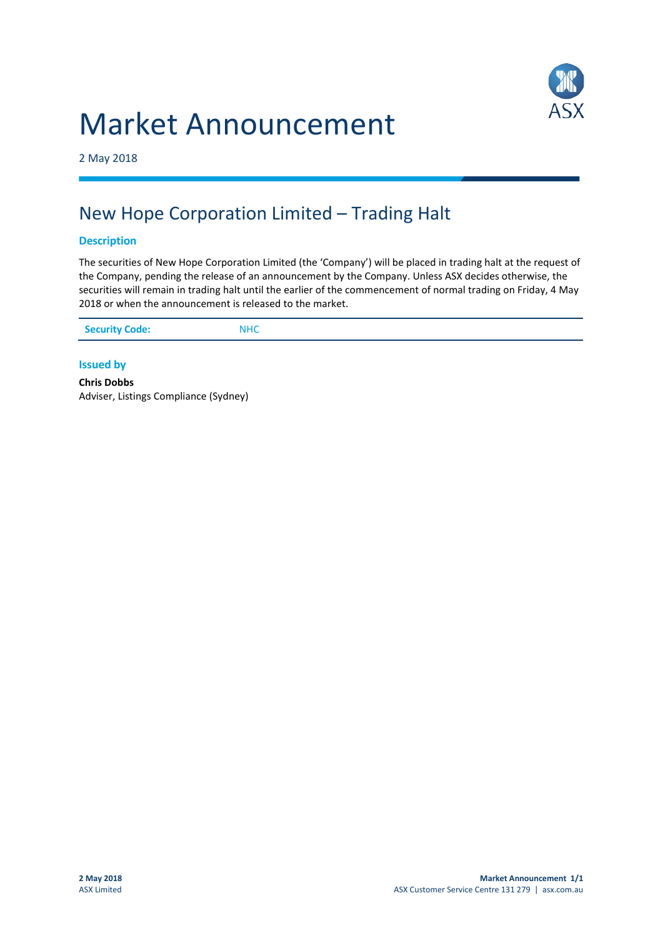# Market Announcement



2 May 2018

## New Hope Corporation Limited – Trading Halt

#### **Description**

The securities of New Hope Corporation Limited (the 'Company') will be placed in trading halt at the request of the Company, pending the release of an announcement by the Company. Unless ASX decides otherwise, the securities will remain in trading halt until the earlier of the commencement of normal trading on Friday, 4 May 2018 or when the announcement is released to the market.

| <b>Security Code:</b> | <b>NHC</b> |
|-----------------------|------------|
|                       |            |

#### **Issued by**

**Chris Dobbs** Adviser, Listings Compliance (Sydney)